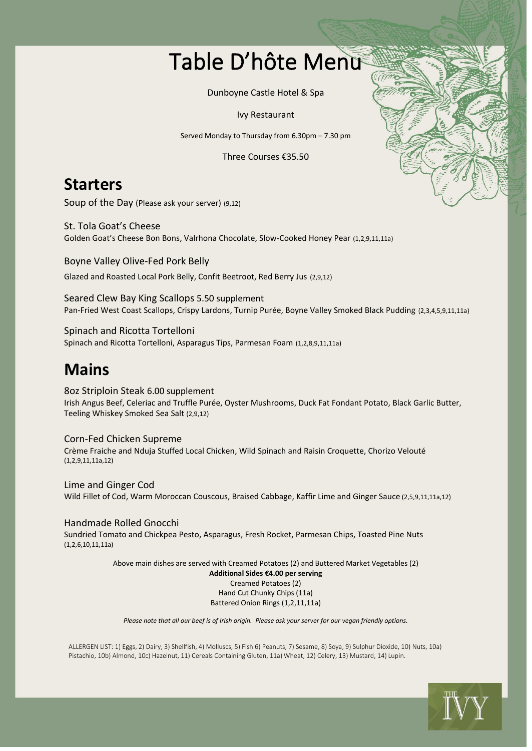## Table D'hôte Menu

Dunboyne Castle Hotel & Spa

Ivy Restaurant

Served Monday to Thursday from 6.30pm – 7.30 pm

Three Courses €35.50

### **Starters**

Soup of the Day (Please ask your server) (9,12)

St. Tola Goat's Cheese Golden Goat's Cheese Bon Bons, Valrhona Chocolate, Slow-Cooked Honey Pear (1,2,9,11,11a)

Boyne Valley Olive-Fed Pork Belly Glazed and Roasted Local Pork Belly, Confit Beetroot, Red Berry Jus (2,9,12)

Seared Clew Bay King Scallops 5.50 supplement Pan-Fried West Coast Scallops, Crispy Lardons, Turnip Purée, Boyne Valley Smoked Black Pudding (2,3,4,5,9,11,11a)

Spinach and Ricotta Tortelloni Spinach and Ricotta Tortelloni, Asparagus Tips, Parmesan Foam (1,2,8,9,11,11a)

## **Mains**

8oz Striploin Steak 6.00 supplement Irish Angus Beef, Celeriac and Truffle Purée, Oyster Mushrooms, Duck Fat Fondant Potato, Black Garlic Butter, Teeling Whiskey Smoked Sea Salt (2,9,12)

Corn-Fed Chicken Supreme Crème Fraiche and Nduja Stuffed Local Chicken, Wild Spinach and Raisin Croquette, Chorizo Velouté (1,2,9,11,11a,12)

Lime and Ginger Cod Wild Fillet of Cod, Warm Moroccan Couscous, Braised Cabbage, Kaffir Lime and Ginger Sauce (2,5,9,11,11a,12)

Handmade Rolled Gnocchi Sundried Tomato and Chickpea Pesto, Asparagus, Fresh Rocket, Parmesan Chips, Toasted Pine Nuts (1,2,6,10,11,11a)

> Above main dishes are served with Creamed Potatoes (2) and Buttered Market Vegetables (2) **Additional Sides €4.00 per serving** Creamed Potatoes (2) Hand Cut Chunky Chips (11a) Battered Onion Rings (1,2,11,11a)

*Please note that all our beef is of Irish origin. Please ask your server for our vegan friendly options.*

ALLERGEN LIST: 1) Eggs, 2) Dairy, 3) Shellfish, 4) Molluscs, 5) Fish 6) Peanuts, 7) Sesame, 8) Soya, 9) Sulphur Dioxide, 10) Nuts, 10a) Pistachio, 10b) Almond, 10c) Hazelnut, 11) Cereals Containing Gluten, 11a) Wheat, 12) Celery, 13) Mustard, 14) Lupin.